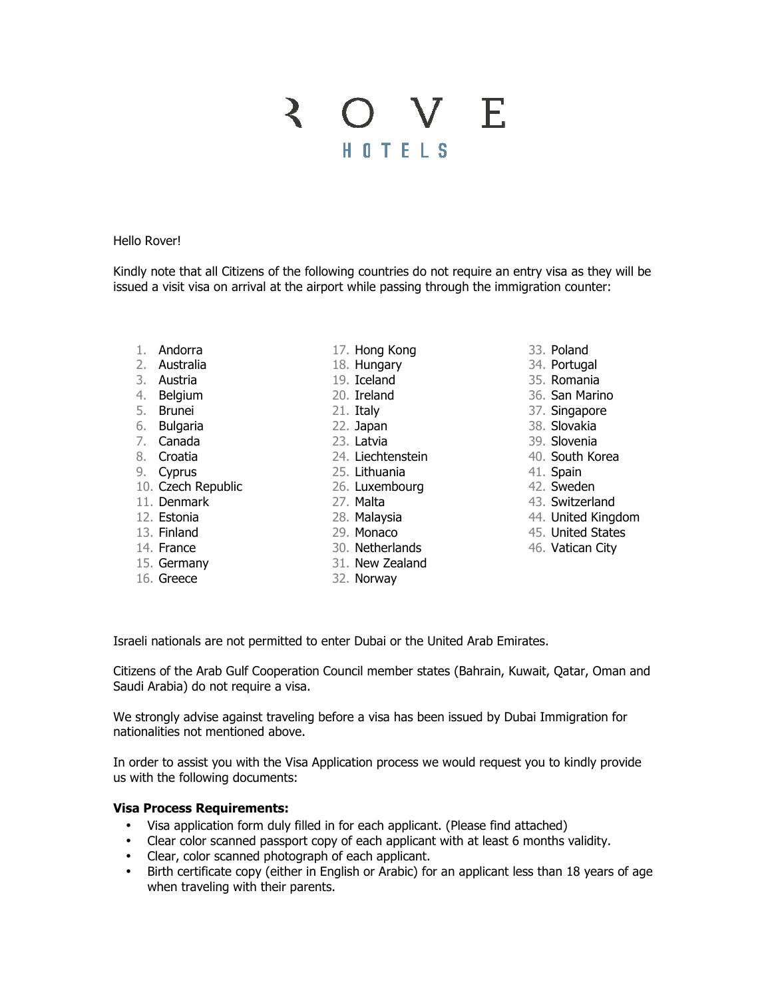# 3 O V E HOTELS

#### Hello Rover!

Kindly note that all Citizens of the following countries do not require an entry visa as they will be issued a visit visa on arrival at the airport while passing through the immigration counter:

- 1. Andorra
- 2. Australia
- 3. Austria
- 4. Belgium
- 5. Brunei
- 6. Bulgaria
- 7. Canada
- 8. Croatia
- 9. Cyprus
- 10. Czech Republic
- 11. Denmark
- 12. Estonia
- 13. Finland
- 14. France
- 15. Germany
- 16. Greece
- 17. Hong Kong
- 18. Hungary
- 19. Iceland
- 20. Ireland
- 21. Italy
- 22. Japan
- 23. Latvia
- 24. Liechtenstein
- 25. Lithuania
- 26. Luxembourg
- 27. Malta
- 28. Malaysia
- 29. Monaco
- 
- 30. Netherlands 27. Malta<br>28. Malaysia<br>29. Monaco<br>30. Netherlands<br>31. New Zealand
	- 32. Norway
- 33. Poland
- 34. Portugal
- 35. Romania
- 36. San Marino
- 37. Singapore
- 38. Slovakia
- 39. Slovenia
- 40. South Korea
- 41. Spain
- 42. Sweden
- 43. Switzerland
- 44. United Kingdom
- 45. United States
- 46. Vatican City

Israeli nationals are not permitted to enter Dubai or the United Arab Emirates.

Citizens of the Arab Gulf Cooperation Council member states (Bahrain, Kuwait, Qatar, Oman and Saudi Arabia) do not require a visa.

We strongly advise against traveling before a visa has been issued by Dubai Immigration for nationalities not mentioned above.

In order to assist you with the Visa Application process we would request you to kindly provide us with the following documents:

# **Visa Process Requirements:**

- Visa application form duly filled in for each applicant. (Please find attached)
- Clear color scanned passport copy of each applicant with at least 6 months validity.
- Clear, color scanned photograph of each applicant.
- Birth certificate copy (either in English or Arabic) for an applicant less than 18 years of age when traveling with their parents.